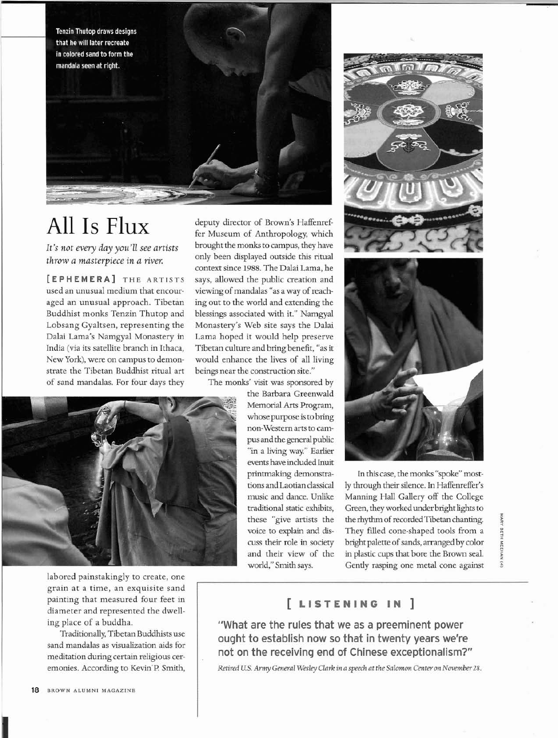Tenzin Thutop draws designs that he will later recreate in colored sand to form the mandala seen at right.



## All Is Flux

*It's not every day you'll see artists throw a masterpiece in a river.* 

**[EPHEMERA] THE** ARTISTS used an unusual medium that encouraged an unusual approach. Tibetan Buddhist monks Tenzin Thutop and Lobsang Gyaltsen, representing the Dalai Lama's Namgyal Monastery in India (via its satellite branch in Ithaca, New York), were on campus to demonstrate the Tibetan Buddhist ritual art of sand mandalas. For four days they

deputy director of Brown's Haffenreffer Museum of Anthropology, which brought the monks to campus, they have only been displayed outside this ritual context since 1988. The Dalai Lama, he says, allowed the public creation and viewing of mandalas "as a way of reaching out to the world and extending the blessings associated with it." Namgyal Monastery's Web site says the Dalai Lama hoped it would help preserve Tibetan culture and bring benefit, "as it would enhance the lives of all living beings near the construction site."

The monks' visit was sponsored by

the Barbara Greenwald Memorial Arts Program, whose purpose is to bring non-Western arts to campus and the general public "in a living way." Earlier events have included Inuit printmaking demonstrations and Laotian classical music and dance. Unlike traditional static exhibits, these "give artists the voice to explain and discuss their role in society and their view of the world," Smith says.





In this case, the monks "spoke" mostly through their silence. In Haffenreffer's Manning Hall Gallery off the College Green, they workedunder bright lights to the rhythm of recorded Tibetan chanting. They filled cone-shaped tools from a bright palette of sands, arranged by color in plastic cups that bore the Brown seal. Gently rasping one metal cone against

MARY BETH â



labored painstakingly to create, one grain at a time, an exquisite sand painting that measured four feet in diameter and represented the dwelling place of a buddha.

Traditionally, Tibetan Buddhists use sand mandalas as visualization aids for meditation during certain religious ceremonies. According to Kevin'E? Smith,

## [ **LISTENING IN** ]

"What are the rules that we as a preeminent power ought to establish now so that in twenty years we're not on the receiving end of Chinese exceptionalism?"

Retired **US.** *Amy General Wesley Clark in a speech at the* Salomon *Center on* Nwember28.